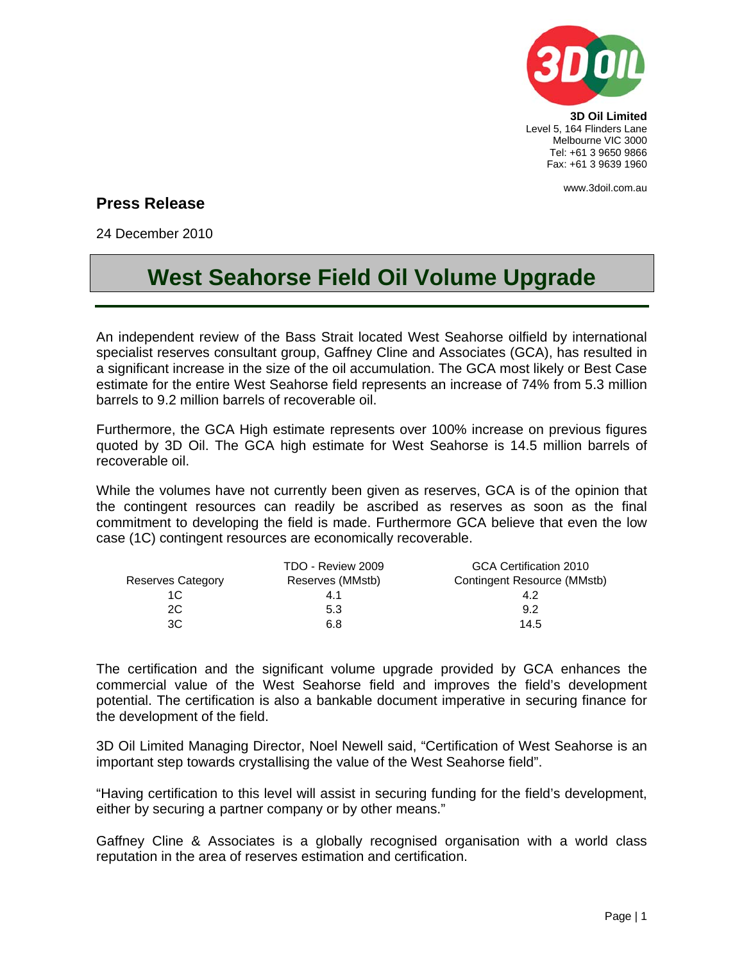

**3D Oil Limited**  Level 5, 164 Flinders Lane Melbourne VIC 3000 Tel: +61 3 9650 9866 Fax: +61 3 9639 1960

www.3doil.com.au

## **Press Release**

24 December 2010

## **West Seahorse Field Oil Volume Upgrade**

An independent review of the Bass Strait located West Seahorse oilfield by international specialist reserves consultant group, Gaffney Cline and Associates (GCA), has resulted in a significant increase in the size of the oil accumulation. The GCA most likely or Best Case estimate for the entire West Seahorse field represents an increase of 74% from 5.3 million barrels to 9.2 million barrels of recoverable oil.

Furthermore, the GCA High estimate represents over 100% increase on previous figures quoted by 3D Oil. The GCA high estimate for West Seahorse is 14.5 million barrels of recoverable oil.

While the volumes have not currently been given as reserves, GCA is of the opinion that the contingent resources can readily be ascribed as reserves as soon as the final commitment to developing the field is made. Furthermore GCA believe that even the low case (1C) contingent resources are economically recoverable.

|                          | TDO - Review 2009 | GCA Certification 2010      |
|--------------------------|-------------------|-----------------------------|
| <b>Reserves Category</b> | Reserves (MMstb)  | Contingent Resource (MMstb) |
| 1C                       | 4.1               | 4.2                         |
| 2C                       | 5.3               | 9.2                         |
| ЗC                       | 6.8               | 14.5                        |

The certification and the significant volume upgrade provided by GCA enhances the commercial value of the West Seahorse field and improves the field's development potential. The certification is also a bankable document imperative in securing finance for the development of the field.

3D Oil Limited Managing Director, Noel Newell said, "Certification of West Seahorse is an important step towards crystallising the value of the West Seahorse field".

"Having certification to this level will assist in securing funding for the field's development, either by securing a partner company or by other means."

Gaffney Cline & Associates is a globally recognised organisation with a world class reputation in the area of reserves estimation and certification.